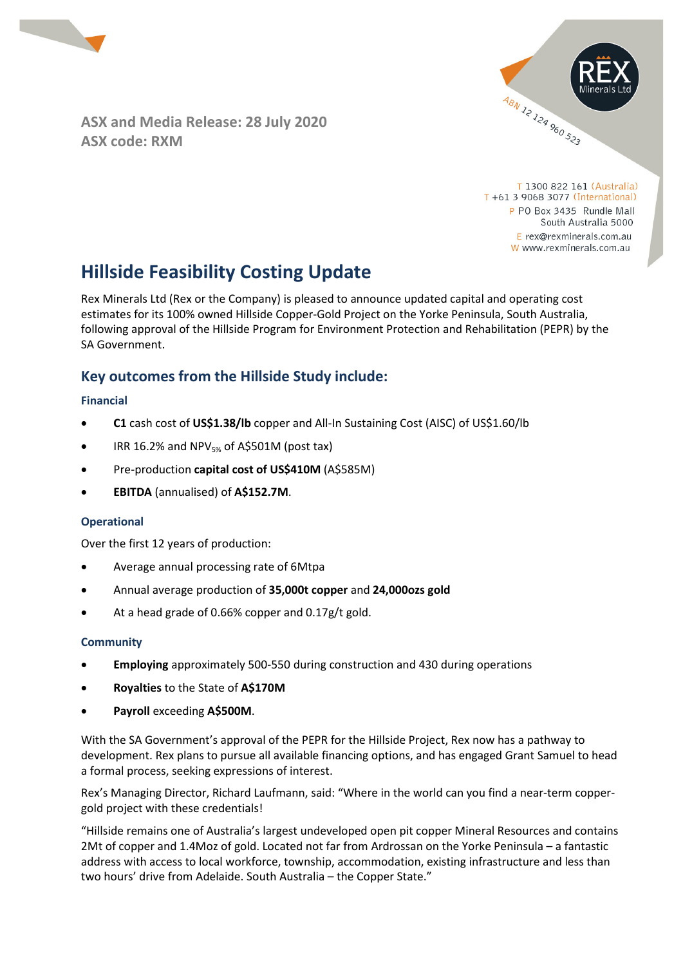

**ASX and Media Release: 28 July 2020 ASX code: RXM** 



T 1300 822 161 (Australia) T +61 3 9068 3077 (International) P PO Box 3435 Rundle Mall South Australia 5000  $E$  rex@rexminerals.com.au W www.rexminerals.com.au

# **Hillside Feasibility Costing Update**

Rex Minerals Ltd (Rex or the Company) is pleased to announce updated capital and operating cost estimates for its 100% owned Hillside Copper-Gold Project on the Yorke Peninsula, South Australia, following approval of the Hillside Program for Environment Protection and Rehabilitation (PEPR) by the SA Government.

# **Key outcomes from the Hillside Study include:**

### **Financial**

- **C1** cash cost of **US\$1.38/lb** copper and All-In Sustaining Cost (AISC) of US\$1.60/lb
- $\bullet$  IRR 16.2% and NPV<sub>5%</sub> of A\$501M (post tax)
- Pre-production **capital cost of US\$410M** (A\$585M)
- **EBITDA** (annualised) of **A\$152.7M**.

### **Operational**

Over the first 12 years of production:

- Average annual processing rate of 6Mtpa
- Annual average production of **35,000t copper** and **24,000ozs gold**
- At a head grade of 0.66% copper and 0.17g/t gold.

### **Community**

- **Employing** approximately 500-550 during construction and 430 during operations
- **Royalties** to the State of **A\$170M**
- **Payroll** exceeding **A\$500M**.

With the SA Government's approval of the PEPR for the Hillside Project, Rex now has a pathway to development. Rex plans to pursue all available financing options, and has engaged Grant Samuel to head a formal process, seeking expressions of interest.

Rex's Managing Director, Richard Laufmann, said: "Where in the world can you find a near-term coppergold project with these credentials!

"Hillside remains one of Australia's largest undeveloped open pit copper Mineral Resources and contains 2Mt of copper and 1.4Moz of gold. Located not far from Ardrossan on the Yorke Peninsula – a fantastic address with access to local workforce, township, accommodation, existing infrastructure and less than two hours' drive from Adelaide. South Australia – the Copper State."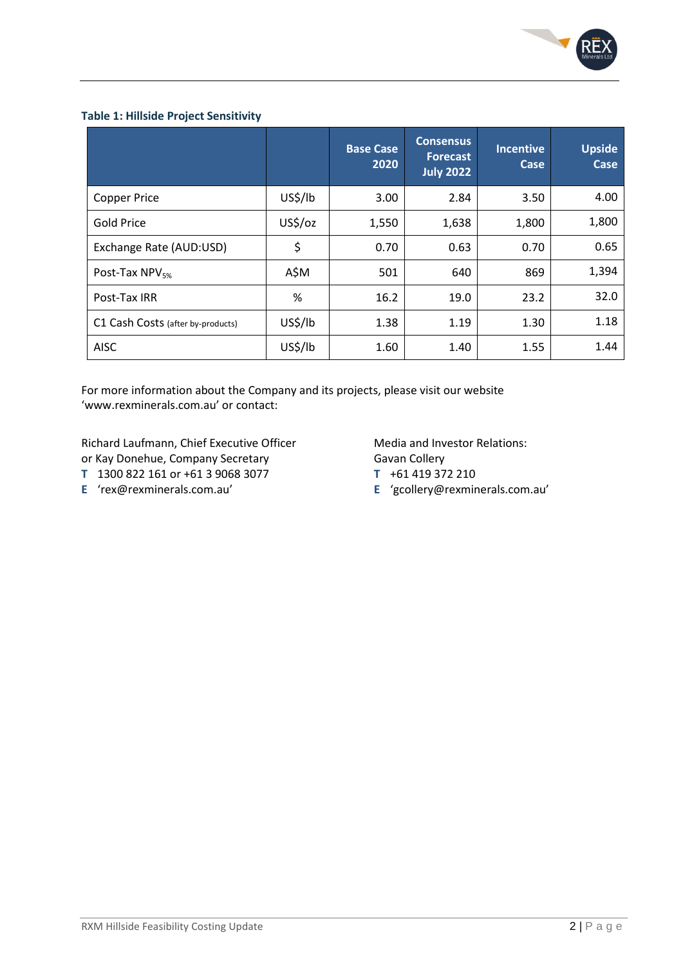

#### **Table 1: Hillside Project Sensitivity**

|                                   |         | <b>Base Case</b><br>2020 | <b>Consensus</b><br><b>Forecast</b><br><b>July 2022</b> | <b>Incentive</b><br>Case | <b>Upside</b><br>Case |
|-----------------------------------|---------|--------------------------|---------------------------------------------------------|--------------------------|-----------------------|
| <b>Copper Price</b>               | US\$/lb | 3.00                     | 2.84                                                    | 3.50                     | 4.00                  |
| Gold Price                        | US\$/oz | 1,550                    | 1,638                                                   | 1,800                    | 1,800                 |
| Exchange Rate (AUD:USD)           | \$      | 0.70                     | 0.63                                                    | 0.70                     | 0.65                  |
| Post-Tax NPV <sub>5%</sub>        | A\$M    | 501                      | 640                                                     | 869                      | 1,394                 |
| Post-Tax IRR                      | %       | 16.2                     | 19.0                                                    | 23.2                     | 32.0                  |
| C1 Cash Costs (after by-products) | US\$/lb | 1.38                     | 1.19                                                    | 1.30                     | 1.18                  |
| <b>AISC</b>                       | US\$/lb | 1.60                     | 1.40                                                    | 1.55                     | 1.44                  |

For more information about the Company and its projects, please visit our website 'www.rexminerals.com.au' or contact:

Richard Laufmann, Chief Executive Officer Media and Investor Relations: or Kay Donehue, Company Secretary Gavan Collery

- **T** 1300 822 161 or +61 3 9068 3077 **T** +61 419 372 210
- 

- 
- **E** 'rex@rexminerals.com.au' **E** 'gcollery@rexminerals.com.au'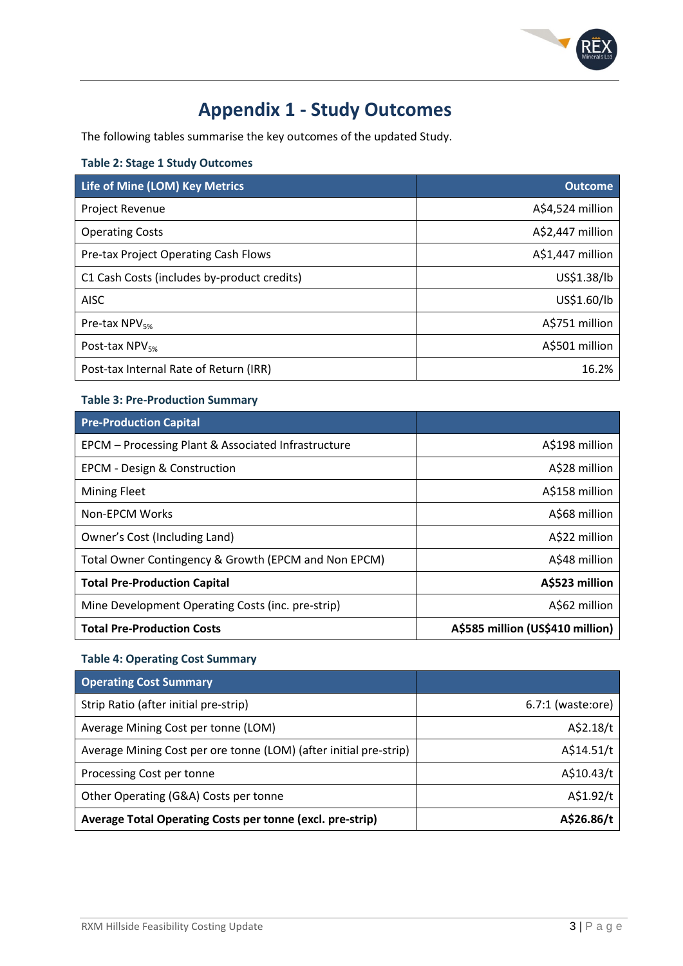

# **Appendix 1 - Study Outcomes**

The following tables summarise the key outcomes of the updated Study.

### **Table 2: Stage 1 Study Outcomes**

| Life of Mine (LOM) Key Metrics              | <b>Outcome</b>   |
|---------------------------------------------|------------------|
| <b>Project Revenue</b>                      | A\$4,524 million |
| <b>Operating Costs</b>                      | A\$2,447 million |
| Pre-tax Project Operating Cash Flows        | A\$1,447 million |
| C1 Cash Costs (includes by-product credits) | US\$1.38/lb      |
| <b>AISC</b>                                 | US\$1.60/lb      |
| Pre-tax $NPV_{5\%}$                         | A\$751 million   |
| Post-tax $NPV_{5\%}$                        | A\$501 million   |
| Post-tax Internal Rate of Return (IRR)      | 16.2%            |

## **Table 3: Pre-Production Summary**

| <b>Pre-Production Capital</b>                        |                                  |
|------------------------------------------------------|----------------------------------|
| EPCM - Processing Plant & Associated Infrastructure  | A\$198 million                   |
| <b>EPCM - Design &amp; Construction</b>              | A\$28 million                    |
| <b>Mining Fleet</b>                                  | A\$158 million                   |
| Non-EPCM Works                                       | A\$68 million                    |
| Owner's Cost (Including Land)                        | A\$22 million                    |
| Total Owner Contingency & Growth (EPCM and Non EPCM) | A\$48 million                    |
| <b>Total Pre-Production Capital</b>                  | A\$523 million                   |
| Mine Development Operating Costs (inc. pre-strip)    | A\$62 million                    |
| <b>Total Pre-Production Costs</b>                    | A\$585 million (US\$410 million) |

### **Table 4: Operating Cost Summary**

| <b>Operating Cost Summary</b>                                     |                     |
|-------------------------------------------------------------------|---------------------|
| Strip Ratio (after initial pre-strip)                             | $6.7:1$ (waste:ore) |
| Average Mining Cost per tonne (LOM)                               | A\$2.18/t           |
| Average Mining Cost per ore tonne (LOM) (after initial pre-strip) | A\$14.51/t          |
| Processing Cost per tonne                                         | A\$10.43/t          |
| Other Operating (G&A) Costs per tonne                             | A\$1.92/t           |
| Average Total Operating Costs per tonne (excl. pre-strip)         | A\$26.86/t          |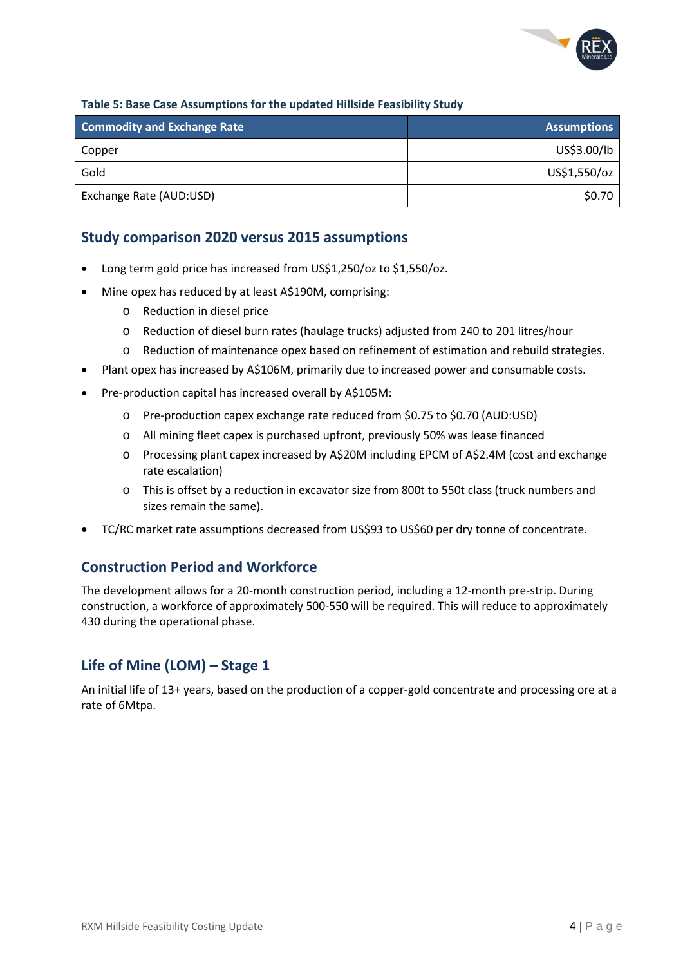

### **Table 5: Base Case Assumptions for the updated Hillside Feasibility Study**

| <b>Commodity and Exchange Rate</b> | <b>Assumptions</b> |
|------------------------------------|--------------------|
| Copper                             | US\$3.00/lb        |
| Gold                               | US\$1,550/oz       |
| Exchange Rate (AUD:USD)            | \$0.70             |

## **Study comparison 2020 versus 2015 assumptions**

- Long term gold price has increased from US\$1,250/oz to \$1,550/oz.
- Mine opex has reduced by at least A\$190M, comprising:
	- o Reduction in diesel price
	- o Reduction of diesel burn rates (haulage trucks) adjusted from 240 to 201 litres/hour
	- o Reduction of maintenance opex based on refinement of estimation and rebuild strategies.
- Plant opex has increased by A\$106M, primarily due to increased power and consumable costs.
- Pre-production capital has increased overall by A\$105M:
	- o Pre-production capex exchange rate reduced from \$0.75 to \$0.70 (AUD:USD)
	- o All mining fleet capex is purchased upfront, previously 50% was lease financed
	- o Processing plant capex increased by A\$20M including EPCM of A\$2.4M (cost and exchange rate escalation)
	- o This is offset by a reduction in excavator size from 800t to 550t class (truck numbers and sizes remain the same).
- TC/RC market rate assumptions decreased from US\$93 to US\$60 per dry tonne of concentrate.

## **Construction Period and Workforce**

The development allows for a 20-month construction period, including a 12-month pre-strip. During construction, a workforce of approximately 500-550 will be required. This will reduce to approximately 430 during the operational phase.

# **Life of Mine (LOM) – Stage 1**

An initial life of 13+ years, based on the production of a copper-gold concentrate and processing ore at a rate of 6Mtpa.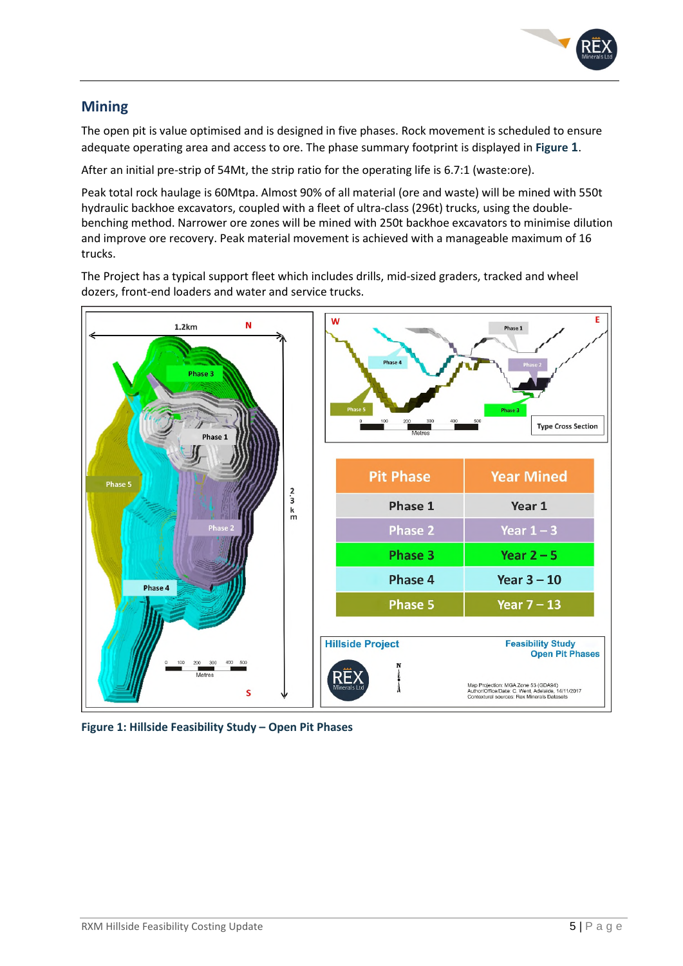

# **Mining**

The open pit is value optimised and is designed in five phases. Rock movement is scheduled to ensure adequate operating area and access to ore. The phase summary footprint is displayed in **Figure 1**.

After an initial pre-strip of 54Mt, the strip ratio for the operating life is 6.7:1 (waste:ore).

Peak total rock haulage is 60Mtpa. Almost 90% of all material (ore and waste) will be mined with 550t hydraulic backhoe excavators, coupled with a fleet of ultra-class (296t) trucks, using the doublebenching method. Narrower ore zones will be mined with 250t backhoe excavators to minimise dilution and improve ore recovery. Peak material movement is achieved with a manageable maximum of 16 trucks.

The Project has a typical support fleet which includes drills, mid-sized graders, tracked and wheel dozers, front-end loaders and water and service trucks.



**Figure 1: Hillside Feasibility Study – Open Pit Phases**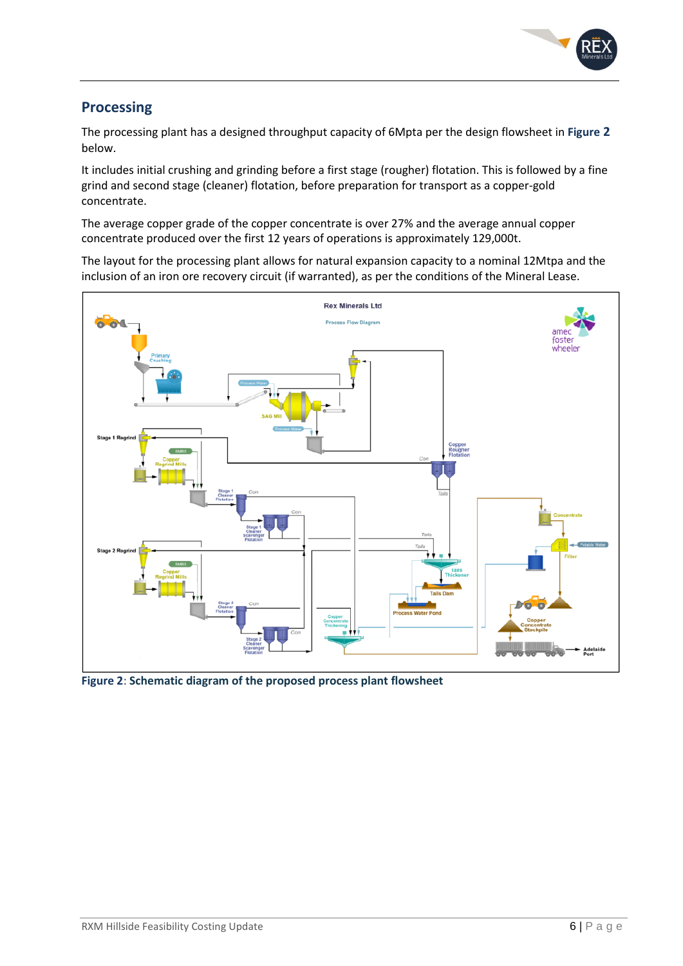

# **Processing**

The processing plant has a designed throughput capacity of 6Mpta per the design flowsheet in **Figure 2** below.

It includes initial crushing and grinding before a first stage (rougher) flotation. This is followed by a fine grind and second stage (cleaner) flotation, before preparation for transport as a copper-gold concentrate.

The average copper grade of the copper concentrate is over 27% and the average annual copper concentrate produced over the first 12 years of operations is approximately 129,000t.

The layout for the processing plant allows for natural expansion capacity to a nominal 12Mtpa and the inclusion of an iron ore recovery circuit (if warranted), as per the conditions of the Mineral Lease.



**Figure 2**: **Schematic diagram of the proposed process plant flowsheet**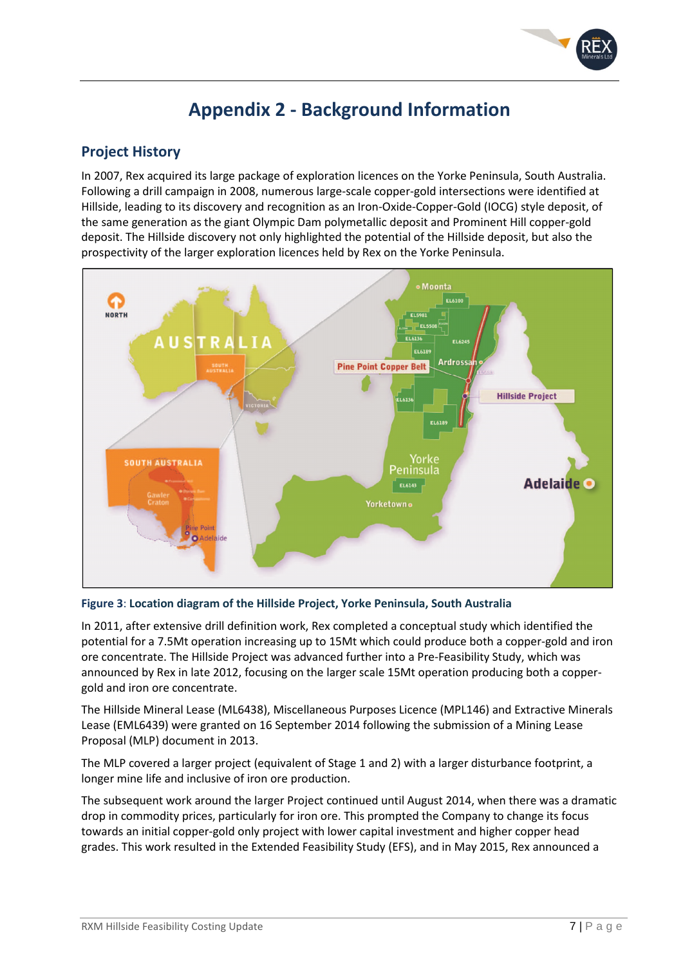

# **Appendix 2 - Background Information**

# **Project History**

In 2007, Rex acquired its large package of exploration licences on the Yorke Peninsula, South Australia. Following a drill campaign in 2008, numerous large-scale copper-gold intersections were identified at Hillside, leading to its discovery and recognition as an Iron-Oxide-Copper-Gold (IOCG) style deposit, of the same generation as the giant Olympic Dam polymetallic deposit and Prominent Hill copper-gold deposit. The Hillside discovery not only highlighted the potential of the Hillside deposit, but also the prospectivity of the larger exploration licences held by Rex on the Yorke Peninsula.



#### **Figure 3**: **Location diagram of the Hillside Project, Yorke Peninsula, South Australia**

In 2011, after extensive drill definition work, Rex completed a conceptual study which identified the potential for a 7.5Mt operation increasing up to 15Mt which could produce both a copper-gold and iron ore concentrate. The Hillside Project was advanced further into a Pre-Feasibility Study, which was announced by Rex in late 2012, focusing on the larger scale 15Mt operation producing both a coppergold and iron ore concentrate.

The Hillside Mineral Lease (ML6438), Miscellaneous Purposes Licence (MPL146) and Extractive Minerals Lease (EML6439) were granted on 16 September 2014 following the submission of a Mining Lease Proposal (MLP) document in 2013.

The MLP covered a larger project (equivalent of Stage 1 and 2) with a larger disturbance footprint, a longer mine life and inclusive of iron ore production.

The subsequent work around the larger Project continued until August 2014, when there was a dramatic drop in commodity prices, particularly for iron ore. This prompted the Company to change its focus towards an initial copper-gold only project with lower capital investment and higher copper head grades. This work resulted in the Extended Feasibility Study (EFS), and in May 2015, Rex announced a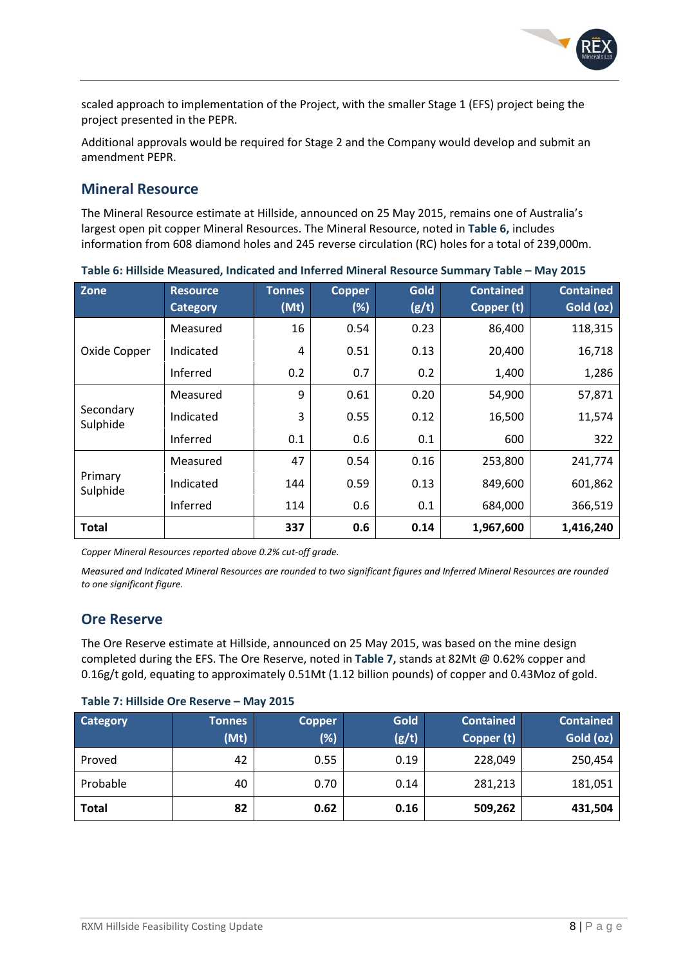

scaled approach to implementation of the Project, with the smaller Stage 1 (EFS) project being the project presented in the PEPR.

Additional approvals would be required for Stage 2 and the Company would develop and submit an amendment PEPR.

# **Mineral Resource**

The Mineral Resource estimate at Hillside, announced on 25 May 2015, remains one of Australia's largest open pit copper Mineral Resources. The Mineral Resource, noted in **Table 6,** includes information from 608 diamond holes and 245 reverse circulation (RC) holes for a total of 239,000m.

| Zone                  | <b>Resource</b><br><b>Category</b> | <b>Tonnes</b><br>(Mt) | <b>Copper</b><br>(%) | Gold<br>(g/t) | <b>Contained</b><br>Copper (t) | <b>Contained</b><br>Gold (oz) |
|-----------------------|------------------------------------|-----------------------|----------------------|---------------|--------------------------------|-------------------------------|
| Oxide Copper          | Measured                           | 16                    | 0.54                 | 0.23          | 86,400                         | 118,315                       |
|                       | Indicated                          | 4                     | 0.51                 | 0.13          | 20,400                         | 16,718                        |
|                       | Inferred                           | 0.2                   | 0.7                  | 0.2           | 1,400                          | 1,286                         |
| Secondary<br>Sulphide | Measured                           | 9                     | 0.61                 | 0.20          | 54,900                         | 57,871                        |
|                       | Indicated                          | 3                     | 0.55                 | 0.12          | 16,500                         | 11,574                        |
|                       | Inferred                           | 0.1                   | 0.6                  | 0.1           | 600                            | 322                           |
| Primary<br>Sulphide   | Measured                           | 47                    | 0.54                 | 0.16          | 253,800                        | 241,774                       |
|                       | Indicated                          | 144                   | 0.59                 | 0.13          | 849,600                        | 601,862                       |
|                       | Inferred                           | 114                   | 0.6                  | 0.1           | 684,000                        | 366,519                       |
| <b>Total</b>          |                                    | 337                   | 0.6                  | 0.14          | 1,967,600                      | 1,416,240                     |

**Table 6: Hillside Measured, Indicated and Inferred Mineral Resource Summary Table – May 2015** 

*Copper Mineral Resources reported above 0.2% cut-off grade.* 

*Measured and Indicated Mineral Resources are rounded to two significant figures and Inferred Mineral Resources are rounded to one significant figure.* 

## **Ore Reserve**

The Ore Reserve estimate at Hillside, announced on 25 May 2015, was based on the mine design completed during the EFS. The Ore Reserve, noted in **Table 7,** stands at 82Mt @ 0.62% copper and 0.16g/t gold, equating to approximately 0.51Mt (1.12 billion pounds) of copper and 0.43Moz of gold.

#### **Table 7: Hillside Ore Reserve – May 2015**

| <b>Category</b> | <b>Tonnes</b> | <b>Copper</b> | Gold  | <b>Contained</b> | <b>Contained</b> |
|-----------------|---------------|---------------|-------|------------------|------------------|
|                 | (Mt)          | $(\%)$        | (g/t) | Copper (t)       | Gold (oz)        |
| Proved          | 42            | 0.55          | 0.19  | 228,049          | 250,454          |
| Probable        | 40            | 0.70          | 0.14  | 281,213          | 181,051          |
| <b>Total</b>    | 82            | 0.62          | 0.16  | 509,262          | 431,504          |